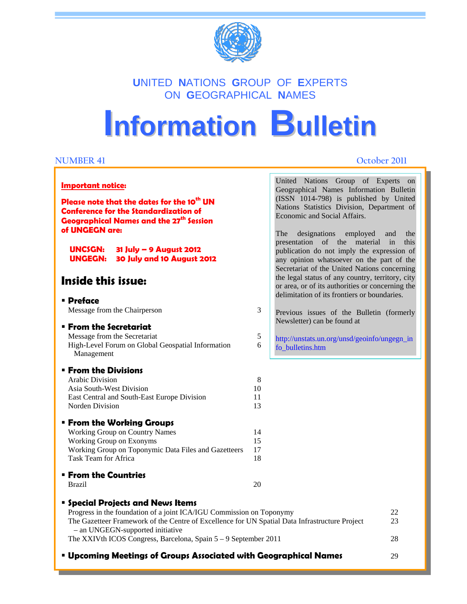

### **U**NITED **N**ATIONS **G**ROUP OF **E**XPERTS ON **G**EOGRAPHICAL **N**AMES

# **Information Bulletin**

#### **NUMBER 41 October 2011**

| <b>Important notice:</b> |
|--------------------------|
|--------------------------|

**Please note that the dates for the 10<sup>th</sup> UN Conference for the Standardization of Geographical Names and the 27<sup>th</sup> Session of UNGEGN are:** 

I

#### **Impressum UNCSGN: 31 July – 9 August 2012 UNGEGN: 30 July and 10 August 2012**

### **Inside this issue:**

#### **Preface**

Message from the Chairperson 3

#### **From the Secretariat**

Message from the Secretariat 5 High-Level Forum on Global Geospatial Information 6 Management

#### **From the Divisions**

| Arabic Division                             |     |
|---------------------------------------------|-----|
| Asia South-West Division                    | 10. |
| East Central and South-East Europe Division | 11. |
| Norden Division                             | 13. |
|                                             |     |

#### **From the Working Groups**

| Working Group on Country Names                       | 14  |
|------------------------------------------------------|-----|
| Working Group on Exonyms                             | 15. |
| Working Group on Toponymic Data Files and Gazetteers | 17  |
| Task Team for Africa                                 | 18. |
|                                                      |     |

#### **From the Countries**

Brazil 20

|  |  | <b>Special Projects and News Items</b> |  |  |  |
|--|--|----------------------------------------|--|--|--|
|--|--|----------------------------------------|--|--|--|

| Progress in the foundation of a joint ICA/IGU Commission on Toponymy                           | 22 |
|------------------------------------------------------------------------------------------------|----|
| The Gazetteer Framework of the Centre of Excellence for UN Spatial Data Infrastructure Project | 23 |
| - an UNGEGN-supported initiative                                                               |    |
| The XXIVth ICOS Congress, Barcelona, Spain $5-9$ September 2011                                | 28 |
|                                                                                                |    |

**Upcoming Meetings of Groups Associated with Geographical Names** 29

| Geographical Names Information Bulletin                          |  |  |  |  |
|------------------------------------------------------------------|--|--|--|--|
| (ISSN 1014-798) is published by United                           |  |  |  |  |
| Nations Statistics Division, Department of                       |  |  |  |  |
| Economic and Social Affairs.                                     |  |  |  |  |
| The designations employed and the                                |  |  |  |  |
| presentation of the material in this                             |  |  |  |  |
| publication do not imply the expression of                       |  |  |  |  |
| any opinion whatsoever on the part of the                        |  |  |  |  |
| Secretariat of the United Nations concerning                     |  |  |  |  |
| the legal status of any country, territory, city                 |  |  |  |  |
| or area, or of its authorities or concerning the                 |  |  |  |  |
| delimitation of its frontiers or boundaries.                     |  |  |  |  |
| Previous issues of the Bulletin (formerly                        |  |  |  |  |
| Newsletter) can be found at                                      |  |  |  |  |
| http://unstats.un.org/unsd/geoinfo/ungegn_in<br>fo bulletins.htm |  |  |  |  |
|                                                                  |  |  |  |  |

United Nations Group of Experts on

<u>1981 - Johann Barn, mars ar breist gant yn y breist yn de breist gant yn de breist gant yn de breist gant yn d</u>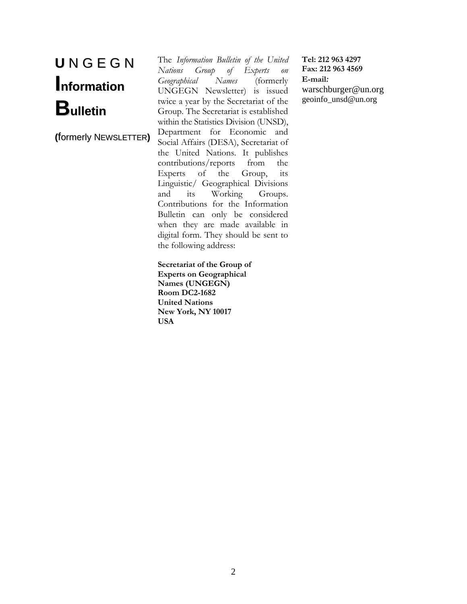## **U** N G E G N **Information Bulletin**

**(**formerly NEWSLETTER**)**

The *Information Bulletin of the United Nations Group of Experts on Geographical Names* (formerly UNGEGN Newsletter) is issued twice a year by the Secretariat of the Group. The Secretariat is established within the Statistics Division (UNSD), Department for Economic and Social Affairs (DESA), Secretariat of the United Nations. It publishes contributions/reports from the Experts of the Group, its Linguistic/ Geographical Divisions and its Working Groups. Contributions for the Information Bulletin can only be considered when they are made available in digital form. They should be sent to the following address:

**Secretariat of the Group of Experts on Geographical Names (UNGEGN) Room DC2-1682 United Nations New York, NY 10017 USA** 

**Tel: 212 963 4297 Fax: 212 963 4569 E-mail***:*  warschburger@un.org geoinfo\_unsd@un.org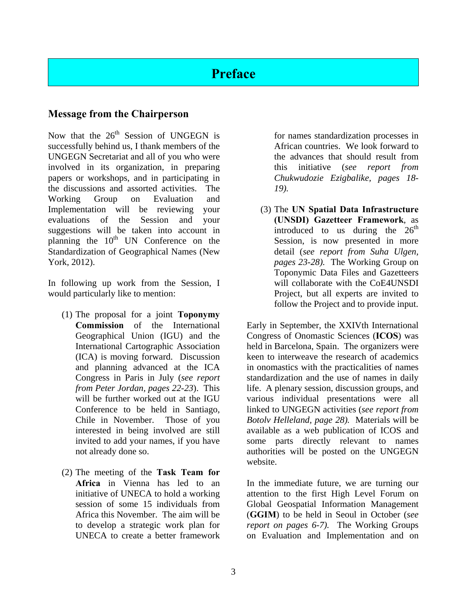### **Preface**

#### **Message from the Chairperson**

Now that the  $26<sup>th</sup>$  Session of UNGEGN is successfully behind us, I thank members of the UNGEGN Secretariat and all of you who were involved in its organization, in preparing papers or workshops, and in participating in the discussions and assorted activities. The Working Group on Evaluation and Implementation will be reviewing your evaluations of the Session and your suggestions will be taken into account in planning the 10<sup>th</sup> UN Conference on the Standardization of Geographical Names (New York, 2012).

In following up work from the Session, I would particularly like to mention:

- (1) The proposal for a joint **Toponymy Commission** of the International Geographical Union (IGU) and the International Cartographic Association (ICA) is moving forward. Discussion and planning advanced at the ICA Congress in Paris in July (*see report from Peter Jordan, pages 22-23*). This will be further worked out at the IGU Conference to be held in Santiago, Chile in November. Those of you interested in being involved are still invited to add your names, if you have not already done so.
- (2) The meeting of the **Task Team for Africa** in Vienna has led to an initiative of UNECA to hold a working session of some 15 individuals from Africa this November. The aim will be to develop a strategic work plan for UNECA to create a better framework

for names standardization processes in African countries. We look forward to the advances that should result from this initiative (*see report from Chukwudozie Ezigbalike, pages 18- 19).*

(3) The **UN Spatial Data Infrastructure (UNSDI) Gazetteer Framework**, as introduced to us during the  $26<sup>th</sup>$ Session, is now presented in more detail (*see report from Suha Ulgen, pages 23-28).* The Working Group on Toponymic Data Files and Gazetteers will collaborate with the CoE4UNSDI Project, but all experts are invited to follow the Project and to provide input.

Early in September, the XXIVth International Congress of Onomastic Sciences (**ICOS**) was held in Barcelona, Spain. The organizers were keen to interweave the research of academics in onomastics with the practicalities of names standardization and the use of names in daily life. A plenary session, discussion groups, and various individual presentations were all linked to UNGEGN activities (*see report from Botolv Helleland, page 28).* Materials will be available as a web publication of ICOS and some parts directly relevant to names authorities will be posted on the UNGEGN website.

In the immediate future, we are turning our attention to the first High Level Forum on Global Geospatial Information Management (**GGIM**) to be held in Seoul in October (*see report on pages 6-7).* The Working Groups on Evaluation and Implementation and on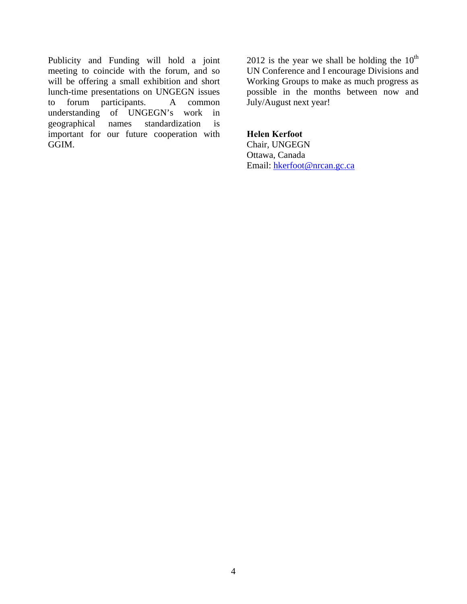Publicity and Funding will hold a joint meeting to coincide with the forum, and so will be offering a small exhibition and short lunch-time presentations on UNGEGN issues to forum participants. A common understanding of UNGEGN's work in geographical names standardization is important for our future cooperation with GGIM.

2012 is the year we shall be holding the  $10^{th}$ UN Conference and I encourage Divisions and Working Groups to make as much progress as possible in the months between now and July/August next year!

#### **Helen Kerfoot**

Chair, UNGEGN Ottawa, Canada Email: hkerfoot@nrcan.gc.ca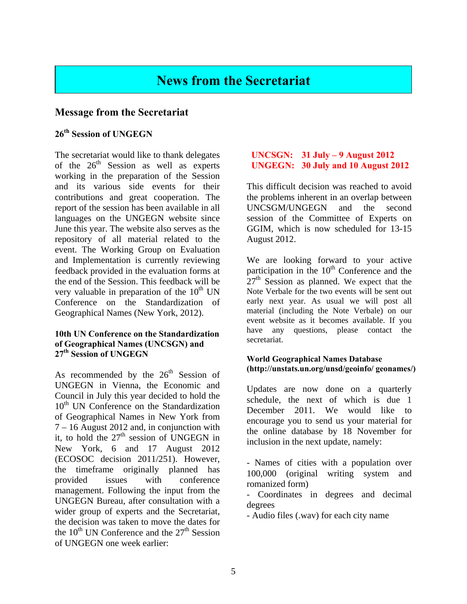### **News from the Secretariat**

#### **Message from the Secretariat**

#### **26th Session of UNGEGN**

The secretariat would like to thank delegates of the  $26<sup>th</sup>$  Session as well as experts working in the preparation of the Session and its various side events for their contributions and great cooperation. The report of the session has been available in all languages on the UNGEGN website since June this year. The website also serves as the repository of all material related to the event. The Working Group on Evaluation and Implementation is currently reviewing feedback provided in the evaluation forms at the end of the Session. This feedback will be very valuable in preparation of the  $10^{th}$  UN Conference on the Standardization of Geographical Names (New York, 2012).

#### **10th UN Conference on the Standardization of Geographical Names (UNCSGN) and 27th Session of UNGEGN**

As recommended by the  $26<sup>th</sup>$  Session of UNGEGN in Vienna, the Economic and Council in July this year decided to hold the  $10<sup>th</sup>$  UN Conference on the Standardization of Geographical Names in New York from 7 – 16 August 2012 and, in conjunction with it, to hold the  $27<sup>th</sup>$  session of UNGEGN in New York, 6 and 17 August 2012 (ECOSOC decision 2011/251). However, the timeframe originally planned has provided issues with conference management. Following the input from the UNGEGN Bureau, after consultation with a wider group of experts and the Secretariat, the decision was taken to move the dates for the  $10^{th}$  UN Conference and the  $27^{th}$  Session of UNGEGN one week earlier:

#### **UNCSGN: 31 July – 9 August 2012 UNGEGN: 30 July and 10 August 2012**

This difficult decision was reached to avoid the problems inherent in an overlap between UNCSGM/UNGEGN and the second session of the Committee of Experts on GGIM, which is now scheduled for 13-15 August 2012.

We are looking forward to your active participation in the  $10<sup>th</sup>$  Conference and the  $27<sup>th</sup>$  Session as planned. We expect that the Note Verbale for the two events will be sent out early next year. As usual we will post all material (including the Note Verbale) on our event website as it becomes available. If you have any questions, please contact the secretariat.

#### **World Geographical Names Database (http://unstats.un.org/unsd/geoinfo/ geonames/)**

Updates are now done on a quarterly schedule, the next of which is due 1 December 2011. We would like to encourage you to send us your material for the online database by 18 November for inclusion in the next update, namely:

- Names of cities with a population over 100,000 (original writing system and romanized form)

- Coordinates in degrees and decimal degrees

- Audio files (.wav) for each city name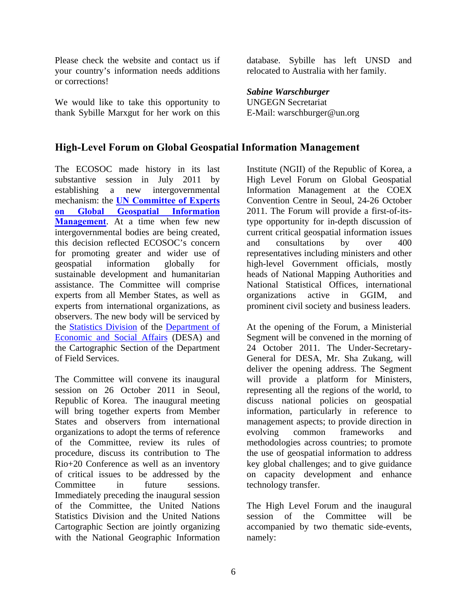Please check the website and contact us if your country's information needs additions or corrections!

We would like to take this opportunity to thank Sybille Marxgut for her work on this

database. Sybille has left UNSD and relocated to Australia with her family.

*Sabine Warschburger*  UNGEGN Secretariat E-Mail: warschburger@un.org

#### **High-Level Forum on Global Geospatial Information Management**

The ECOSOC made history in its last substantive session in July 2011 by establishing a new intergovernmental mechanism: the **UN Committee of Experts on Global Geospatial Information Management**. At a time when few new intergovernmental bodies are being created, this decision reflected ECOSOC's concern for promoting greater and wider use of geospatial information globally for sustainable development and humanitarian assistance. The Committee will comprise experts from all Member States, as well as experts from international organizations, as observers. The new body will be serviced by the Statistics Division of the Department of Economic and Social Affairs (DESA) and the Cartographic Section of the Department of Field Services.

The Committee will convene its inaugural session on 26 October 2011 in Seoul, Republic of Korea. The inaugural meeting will bring together experts from Member States and observers from international organizations to adopt the terms of reference of the Committee, review its rules of procedure, discuss its contribution to The Rio+20 Conference as well as an inventory of critical issues to be addressed by the Committee in future sessions. Immediately preceding the inaugural session of the Committee, the United Nations Statistics Division and the United Nations Cartographic Section are jointly organizing with the National Geographic Information

Institute (NGII) of the Republic of Korea, a High Level Forum on Global Geospatial Information Management at the COEX Convention Centre in Seoul, 24-26 October 2011. The Forum will provide a first-of-itstype opportunity for in-depth discussion of current critical geospatial information issues and consultations by over 400 representatives including ministers and other high-level Government officials, mostly heads of National Mapping Authorities and National Statistical Offices, international organizations active in GGIM, and prominent civil society and business leaders.

At the opening of the Forum, a Ministerial Segment will be convened in the morning of 24 October 2011. The Under-Secretary-General for DESA, Mr. Sha Zukang, will deliver the opening address. The Segment will provide a platform for Ministers, representing all the regions of the world, to discuss national policies on geospatial information, particularly in reference to management aspects; to provide direction in evolving common frameworks and methodologies across countries; to promote the use of geospatial information to address key global challenges; and to give guidance on capacity development and enhance technology transfer.

The High Level Forum and the inaugural session of the Committee will be accompanied by two thematic side-events, namely: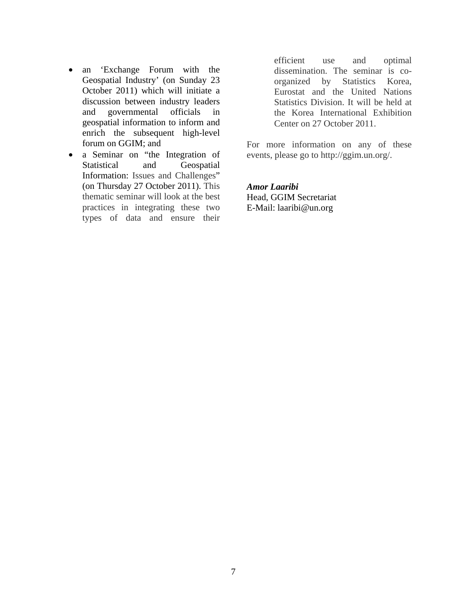- an 'Exchange Forum with the Geospatial Industry' (on Sunday 23 October 2011) which will initiate a discussion between industry leaders and governmental officials in geospatial information to inform and enrich the subsequent high-level forum on GGIM; and
- a Seminar on "the Integration of Statistical and Geospatial Information: Issues and Challenges" (on Thursday 27 October 2011). This thematic seminar will look at the best practices in integrating these two types of data and ensure their

efficient use and optimal dissemination. The seminar is coorganized by Statistics Korea, Eurostat and the United Nations Statistics Division. It will be held at the Korea International Exhibition Center on 27 October 2011.

For more information on any of these events, please go to http://ggim.un.org/.

#### *Amor Laaribi*

Head, GGIM Secretariat E-Mail: laaribi@un.org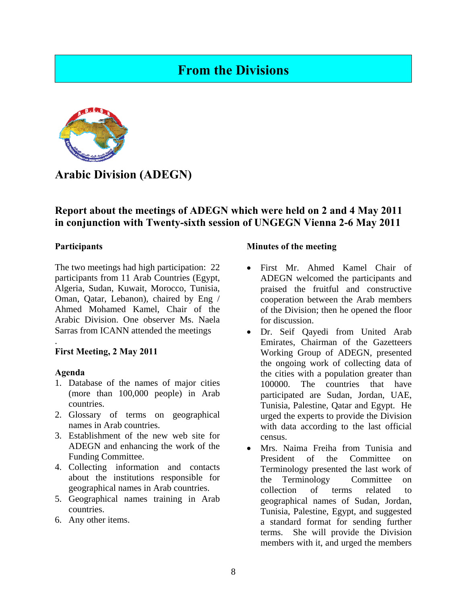### **From the Divisions**



**Arabic Division (ADEGN)** 

#### **Report about the meetings of ADEGN which were held on 2 and 4 May 2011 in conjunction with Twenty-sixth session of UNGEGN Vienna 2-6 May 2011**

#### **Participants**

The two meetings had high participation: 22 participants from 11 Arab Countries (Egypt, Algeria, Sudan, Kuwait, Morocco, Tunisia, Oman, Qatar, Lebanon), chaired by Eng / Ahmed Mohamed Kamel, Chair of the Arabic Division. One observer Ms. Naela Sarras from ICANN attended the meetings

#### **First Meeting, 2 May 2011**

#### **Agenda**

.

- 1. Database of the names of major cities (more than 100,000 people) in Arab countries.
- 2. Glossary of terms on geographical names in Arab countries.
- 3. Establishment of the new web site for ADEGN and enhancing the work of the Funding Committee.
- 4. Collecting information and contacts about the institutions responsible for geographical names in Arab countries.
- 5. Geographical names training in Arab countries.
- 6. Any other items.

#### **Minutes of the meeting**

- First Mr. Ahmed Kamel Chair of ADEGN welcomed the participants and praised the fruitful and constructive cooperation between the Arab members of the Division; then he opened the floor for discussion.
- Dr. Seif Qayedi from United Arab Emirates, Chairman of the Gazetteers Working Group of ADEGN, presented the ongoing work of collecting data of the cities with a population greater than 100000. The countries that have participated are Sudan, Jordan, UAE, Tunisia, Palestine, Qatar and Egypt. He urged the experts to provide the Division with data according to the last official census.
- Mrs. Naima Freiha from Tunisia and President of the Committee on Terminology presented the last work of the Terminology Committee on collection of terms related to geographical names of Sudan, Jordan, Tunisia, Palestine, Egypt, and suggested a standard format for sending further terms. She will provide the Division members with it, and urged the members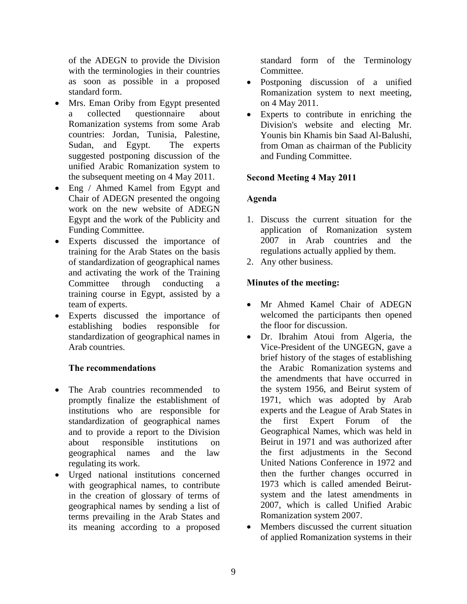of the ADEGN to provide the Division with the terminologies in their countries as soon as possible in a proposed standard form.

- Mrs. Eman Oriby from Egypt presented a collected questionnaire about Romanization systems from some Arab countries: Jordan, Tunisia, Palestine, Sudan, and Egypt. The experts suggested postponing discussion of the unified Arabic Romanization system to the subsequent meeting on 4 May 2011.
- Eng / Ahmed Kamel from Egypt and Chair of ADEGN presented the ongoing work on the new website of ADEGN Egypt and the work of the Publicity and Funding Committee.
- Experts discussed the importance of training for the Arab States on the basis of standardization of geographical names and activating the work of the Training Committee through conducting training course in Egypt, assisted by a team of experts.
- Experts discussed the importance of establishing bodies responsible for standardization of geographical names in Arab countries.

#### **The recommendations**

- The Arab countries recommended to promptly finalize the establishment of institutions who are responsible for standardization of geographical names and to provide a report to the Division about responsible institutions on geographical names and the law regulating its work.
- Urged national institutions concerned with geographical names, to contribute in the creation of glossary of terms of geographical names by sending a list of terms prevailing in the Arab States and its meaning according to a proposed

standard form of the Terminology Committee.

- Postponing discussion of a unified Romanization system to next meeting, on 4 May 2011.
- Experts to contribute in enriching the Division's website and electing Mr. Younis bin Khamis bin Saad Al-Balushi, from Oman as chairman of the Publicity and Funding Committee.

#### **Second Meeting 4 May 2011**

#### **Agenda**

- 1. Discuss the current situation for the application of Romanization system 2007 in Arab countries and the regulations actually applied by them.
- 2. Any other business.

#### **Minutes of the meeting:**

- Mr Ahmed Kamel Chair of ADEGN welcomed the participants then opened the floor for discussion.
- Dr. Ibrahim Atoui from Algeria, the Vice-President of the UNGEGN, gave a brief history of the stages of establishing the Arabic Romanization systems and the amendments that have occurred in the system 1956, and Beirut system of 1971, which was adopted by Arab experts and the League of Arab States in the first Expert Forum of the Geographical Names, which was held in Beirut in 1971 and was authorized after the first adjustments in the Second United Nations Conference in 1972 and then the further changes occurred in 1973 which is called amended Beirutsystem and the latest amendments in 2007, which is called Unified Arabic Romanization system 2007.
- Members discussed the current situation of applied Romanization systems in their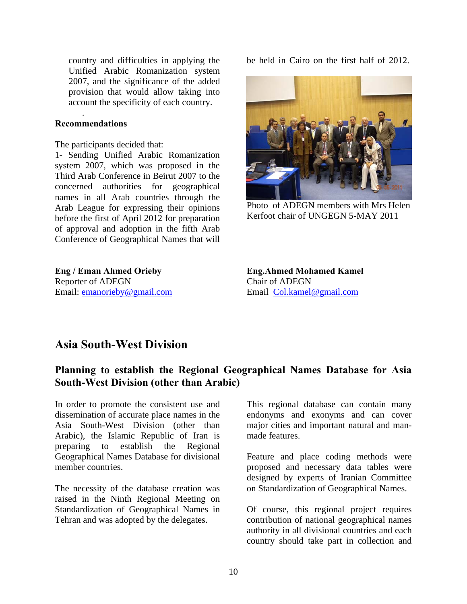country and difficulties in applying the Unified Arabic Romanization system 2007, and the significance of the added provision that would allow taking into account the specificity of each country.

#### **Recommendations**

.

The participants decided that:

1- Sending Unified Arabic Romanization system 2007, which was proposed in the Third Arab Conference in Beirut 2007 to the concerned authorities for geographical names in all Arab countries through the Arab League for expressing their opinions before the first of April 2012 for preparation of approval and adoption in the fifth Arab Conference of Geographical Names that will

**Eng / Eman Ahmed Orieby** Reporter of ADEGN Email: emanorieby@gmail.com be held in Cairo on the first half of 2012.



Photo of ADEGN members with Mrs Helen Kerfoot chair of UNGEGN 5-MAY 2011

**Eng.Ahmed Mohamed Kamel**  Chair of ADEGN Email Col.kamel@gmail.com

### **Asia South-West Division**

### **Planning to establish the Regional Geographical Names Database for Asia South-West Division (other than Arabic)**

In order to promote the consistent use and dissemination of accurate place names in the Asia South-West Division (other than Arabic), the Islamic Republic of Iran is preparing to establish the Regional Geographical Names Database for divisional member countries.

The necessity of the database creation was raised in the Ninth Regional Meeting on Standardization of Geographical Names in Tehran and was adopted by the delegates.

This regional database can contain many endonyms and exonyms and can cover major cities and important natural and manmade features.

Feature and place coding methods were proposed and necessary data tables were designed by experts of Iranian Committee on Standardization of Geographical Names.

Of course, this regional project requires contribution of national geographical names authority in all divisional countries and each country should take part in collection and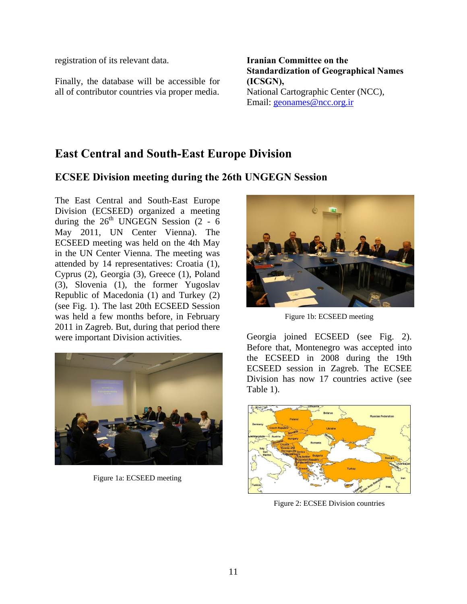registration of its relevant data.

Finally, the database will be accessible for all of contributor countries via proper media.

**Iranian Committee on the Standardization of Geographical Names (ICSGN),**  National Cartographic Center (NCC), Email: geonames@ncc.org.ir

### **East Central and South-East Europe Division**

### **ECSEE Division meeting during the 26th UNGEGN Session**

The East Central and South-East Europe Division (ECSEED) organized a meeting during the  $26<sup>th</sup>$  UNGEGN Session (2 - 6) May 2011, UN Center Vienna). The ECSEED meeting was held on the 4th May in the UN Center Vienna. The meeting was attended by 14 representatives: Croatia (1), Cyprus (2), Georgia (3), Greece (1), Poland (3), Slovenia (1), the former Yugoslav Republic of Macedonia (1) and Turkey (2) (see Fig. 1). The last 20th ECSEED Session was held a few months before, in February 2011 in Zagreb. But, during that period there were important Division activities.



Figure 1a: ECSEED meeting



Figure 1b: ECSEED meeting

Georgia joined ECSEED (see Fig. 2). Before that, Montenegro was accepted into the ECSEED in 2008 during the 19th ECSEED session in Zagreb. The ECSEE Division has now 17 countries active (see Table 1).



Figure 2: ECSEE Division countries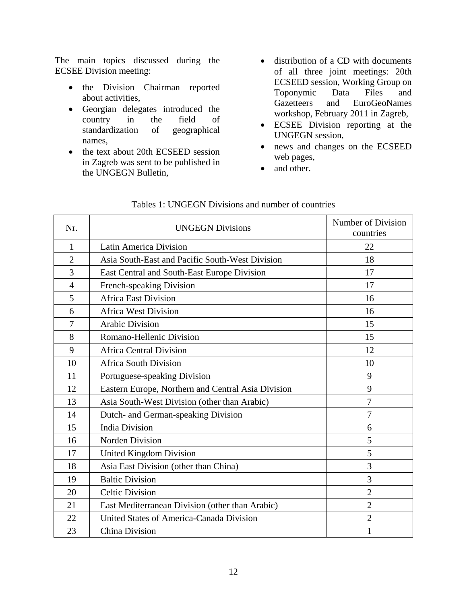The main topics discussed during the ECSEE Division meeting:

- the Division Chairman reported about activities,
- Georgian delegates introduced the country in the field of standardization of geographical names,
- the text about 20th ECSEED session in Zagreb was sent to be published in the UNGEGN Bulletin,
- distribution of a CD with documents of all three joint meetings: 20th ECSEED session, Working Group on Toponymic Data Files and Gazetteers and EuroGeoNames workshop, February 2011 in Zagreb,
- ECSEE Division reporting at the UNGEGN session,
- news and changes on the ECSEED web pages,
- and other.

| Nr.            | <b>UNGEGN Divisions</b>                            | Number of Division<br>countries |
|----------------|----------------------------------------------------|---------------------------------|
| $\mathbf{1}$   | <b>Latin America Division</b>                      | 22                              |
| $\overline{2}$ | Asia South-East and Pacific South-West Division    | 18                              |
| 3              | East Central and South-East Europe Division        | 17                              |
| $\overline{4}$ | French-speaking Division                           | 17                              |
| 5              | <b>Africa East Division</b>                        | 16                              |
| 6              | <b>Africa West Division</b>                        | 16                              |
| 7              | <b>Arabic Division</b>                             | 15                              |
| 8              | Romano-Hellenic Division                           | 15                              |
| 9              | <b>Africa Central Division</b>                     | 12                              |
| 10             | <b>Africa South Division</b>                       | 10                              |
| 11             | Portuguese-speaking Division                       | 9                               |
| 12             | Eastern Europe, Northern and Central Asia Division | 9                               |
| 13             | Asia South-West Division (other than Arabic)       | 7                               |
| 14             | Dutch- and German-speaking Division                | $\overline{7}$                  |
| 15             | <b>India Division</b>                              | 6                               |
| 16             | <b>Norden Division</b>                             | 5                               |
| 17             | United Kingdom Division                            | 5                               |
| 18             | Asia East Division (other than China)              | 3                               |
| 19             | <b>Baltic Division</b>                             | 3                               |
| 20             | <b>Celtic Division</b>                             | $\overline{2}$                  |
| 21             | East Mediterranean Division (other than Arabic)    | $\overline{2}$                  |
| 22             | United States of America-Canada Division           | $\overline{2}$                  |
| 23             | China Division                                     | 1                               |

#### Tables 1: UNGEGN Divisions and number of countries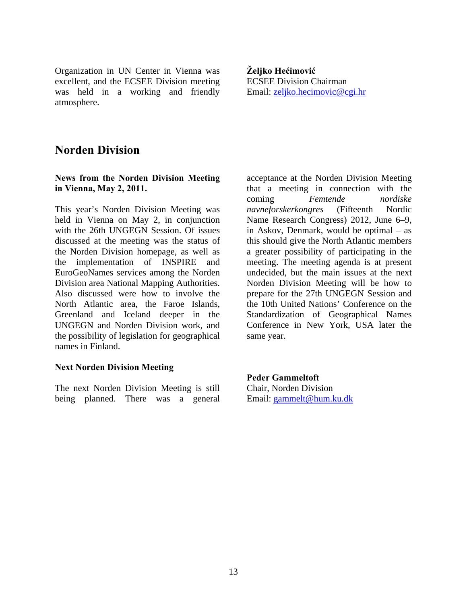Organization in UN Center in Vienna was excellent, and the ECSEE Division meeting was held in a working and friendly atmosphere.

**Željko Hećimović**  ECSEE Division Chairman Email: zeljko.hecimovic@cgi.hr

### **Norden Division**

#### **News from the Norden Division Meeting in Vienna, May 2, 2011.**

This year's Norden Division Meeting was held in Vienna on May 2, in conjunction with the 26th UNGEGN Session. Of issues discussed at the meeting was the status of the Norden Division homepage, as well as the implementation of INSPIRE and EuroGeoNames services among the Norden Division area National Mapping Authorities. Also discussed were how to involve the North Atlantic area, the Faroe Islands, Greenland and Iceland deeper in the UNGEGN and Norden Division work, and the possibility of legislation for geographical names in Finland.

#### **Next Norden Division Meeting**

The next Norden Division Meeting is still being planned. There was a general

acceptance at the Norden Division Meeting that a meeting in connection with the coming *Femtende nordiske navneforskerkongres* (Fifteenth Nordic Name Research Congress) 2012, June 6–9, in Askov, Denmark, would be optimal – as this should give the North Atlantic members a greater possibility of participating in the meeting. The meeting agenda is at present undecided, but the main issues at the next Norden Division Meeting will be how to prepare for the 27th UNGEGN Session and the 10th United Nations' Conference on the Standardization of Geographical Names Conference in New York, USA later the same year.

**Peder Gammeltoft**  Chair, Norden Division Email: gammelt@hum.ku.dk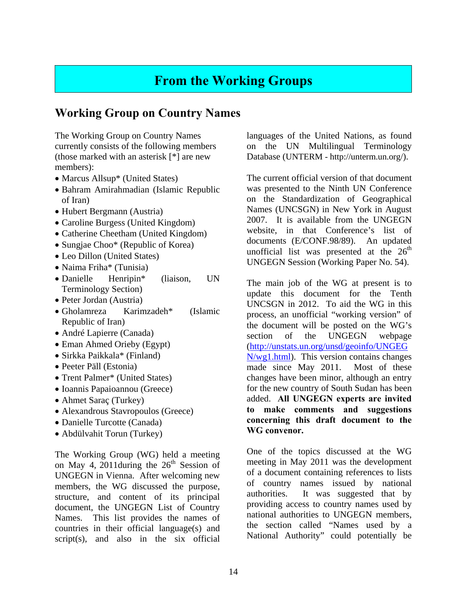### **From the Working Groups**

### **Working Group on Country Names**

The Working Group on Country Names currently consists of the following members (those marked with an asterisk [\*] are new members):

- Marcus Allsup<sup>\*</sup> (United States)
- Bahram Amirahmadian (Islamic Republic of Iran)
- Hubert Bergmann (Austria)
- Caroline Burgess (United Kingdom)
- Catherine Cheetham (United Kingdom)
- Sungjae Choo\* (Republic of Korea)
- Leo Dillon (United States)
- Naima Friha\* (Tunisia)
- Danielle Henripin\* (liaison, UN Terminology Section)
- Peter Jordan (Austria)
- Gholamreza Karimzadeh\* (Islamic Republic of Iran)
- André Lapierre (Canada)
- Eman Ahmed Orieby (Egypt)
- Sirkka Paikkala\* (Finland)
- Peeter Päll (Estonia)
- Trent Palmer\* (United States)
- Ioannis Papaioannou (Greece)
- Ahmet Saraç (Turkey)
- Alexandrous Stavropoulos (Greece)
- Danielle Turcotte (Canada)
- Abdülvahit Torun (Turkey)

The Working Group (WG) held a meeting on May 4, 2011during the  $26<sup>th</sup>$  Session of UNGEGN in Vienna. After welcoming new members, the WG discussed the purpose, structure, and content of its principal document, the UNGEGN List of Country Names. This list provides the names of countries in their official language(s) and script(s), and also in the six official

languages of the United Nations, as found on the UN Multilingual Terminology Database (UNTERM - http://unterm.un.org/).

The current official version of that document was presented to the Ninth UN Conference on the Standardization of Geographical Names (UNCSGN) in New York in August 2007. It is available from the UNGEGN website, in that Conference's list of documents (E/CONF.98/89). An updated unofficial list was presented at the  $26<sup>th</sup>$ UNGEGN Session (Working Paper No. 54).

The main job of the WG at present is to update this document for the Tenth UNCSGN in 2012. To aid the WG in this process, an unofficial "working version" of the document will be posted on the WG's section of the UNGEGN webpage (http://unstats.un.org/unsd/geoinfo/UNGEG N/wg1.html). This version contains changes made since May 2011. Most of these changes have been minor, although an entry for the new country of South Sudan has been added. **All UNGEGN experts are invited to make comments and suggestions concerning this draft document to the WG convenor.**

One of the topics discussed at the WG meeting in May 2011 was the development of a document containing references to lists of country names issued by national authorities. It was suggested that by providing access to country names used by national authorities to UNGEGN members, the section called "Names used by a National Authority" could potentially be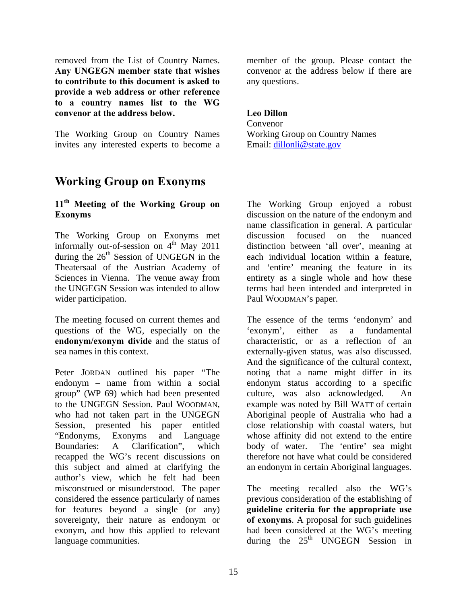removed from the List of Country Names. **Any UNGEGN member state that wishes to contribute to this document is asked to provide a web address or other reference to a country names list to the WG convenor at the address below.** 

The Working Group on Country Names invites any interested experts to become a

### **Working Group on Exonyms**

#### **11th Meeting of the Working Group on Exonyms**

The Working Group on Exonyms met informally out-of-session on  $4<sup>th</sup>$  May 2011 during the  $26<sup>th</sup>$  Session of UNGEGN in the Theatersaal of the Austrian Academy of Sciences in Vienna. The venue away from the UNGEGN Session was intended to allow wider participation.

The meeting focused on current themes and questions of the WG, especially on the **endonym/exonym divide** and the status of sea names in this context.

Peter JORDAN outlined his paper "The endonym – name from within a social group" (WP 69) which had been presented to the UNGEGN Session. Paul WOODMAN, who had not taken part in the UNGEGN Session, presented his paper entitled "Endonyms, Exonyms and Language Boundaries: A Clarification", which recapped the WG's recent discussions on this subject and aimed at clarifying the author's view, which he felt had been misconstrued or misunderstood. The paper considered the essence particularly of names for features beyond a single (or any) sovereignty, their nature as endonym or exonym, and how this applied to relevant language communities.

member of the group. Please contact the convenor at the address below if there are any questions.

#### **Leo Dillon**

Convenor Working Group on Country Names Email: dillonli@state.gov

The Working Group enjoyed a robust discussion on the nature of the endonym and name classification in general. A particular discussion focused on the nuanced distinction between 'all over', meaning at each individual location within a feature, and 'entire' meaning the feature in its entirety as a single whole and how these terms had been intended and interpreted in Paul WOODMAN's paper.

The essence of the terms 'endonym' and 'exonym', either as a fundamental characteristic, or as a reflection of an externally-given status, was also discussed. And the significance of the cultural context, noting that a name might differ in its endonym status according to a specific culture, was also acknowledged. An example was noted by Bill WATT of certain Aboriginal people of Australia who had a close relationship with coastal waters, but whose affinity did not extend to the entire body of water. The 'entire' sea might therefore not have what could be considered an endonym in certain Aboriginal languages.

The meeting recalled also the WG's previous consideration of the establishing of **guideline criteria for the appropriate use of exonyms**. A proposal for such guidelines had been considered at the WG's meeting during the  $25<sup>th</sup>$  UNGEGN Session in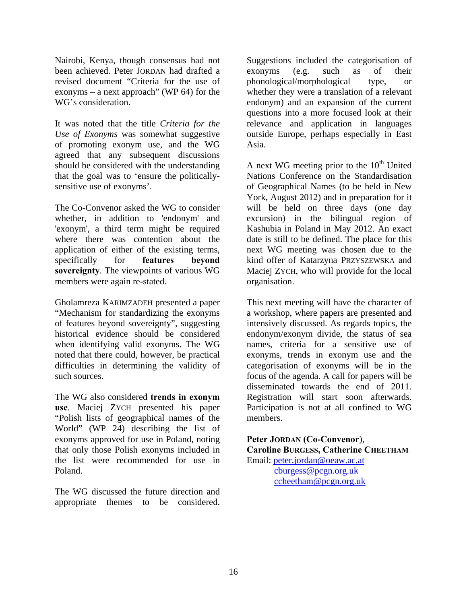Nairobi, Kenya, though consensus had not been achieved. Peter JORDAN had drafted a revised document "Criteria for the use of exonyms – a next approach" (WP 64) for the WG's consideration.

It was noted that the title *Criteria for the Use of Exonyms* was somewhat suggestive of promoting exonym use, and the WG agreed that any subsequent discussions should be considered with the understanding that the goal was to 'ensure the politicallysensitive use of exonyms'.

The Co-Convenor asked the WG to consider whether, in addition to 'endonym' and 'exonym', a third term might be required where there was contention about the application of either of the existing terms, specifically for **features beyond sovereignty**. The viewpoints of various WG members were again re-stated.

Gholamreza KARIMZADEH presented a paper "Mechanism for standardizing the exonyms of features beyond sovereignty", suggesting historical evidence should be considered when identifying valid exonyms. The WG noted that there could, however, be practical difficulties in determining the validity of such sources.

The WG also considered **trends in exonym use**. Maciej ZYCH presented his paper "Polish lists of geographical names of the World" (WP 24) describing the list of exonyms approved for use in Poland, noting that only those Polish exonyms included in the list were recommended for use in Poland.

The WG discussed the future direction and appropriate themes to be considered.

Suggestions included the categorisation of exonyms (e.g. such as of their phonological/morphological type, or whether they were a translation of a relevant endonym) and an expansion of the current questions into a more focused look at their relevance and application in languages outside Europe, perhaps especially in East Asia.

A next WG meeting prior to the  $10<sup>th</sup>$  United Nations Conference on the Standardisation of Geographical Names (to be held in New York, August 2012) and in preparation for it will be held on three days (one day excursion) in the bilingual region of Kashubia in Poland in May 2012. An exact date is still to be defined. The place for this next WG meeting was chosen due to the kind offer of Katarzyna PRZYSZEWSKA and Maciej ZYCH, who will provide for the local organisation.

This next meeting will have the character of a workshop, where papers are presented and intensively discussed. As regards topics, the endonym/exonym divide, the status of sea names, criteria for a sensitive use of exonyms, trends in exonym use and the categorisation of exonyms will be in the focus of the agenda. A call for papers will be disseminated towards the end of 2011. Registration will start soon afterwards. Participation is not at all confined to WG members.

**Peter JORDAN (Co-Convenor**), **Caroline BURGESS, Catherine CHEETHAM** 

Email: peter.jordan@oeaw.ac.at cburgess@pcgn.org.uk ccheetham@pcgn.org.uk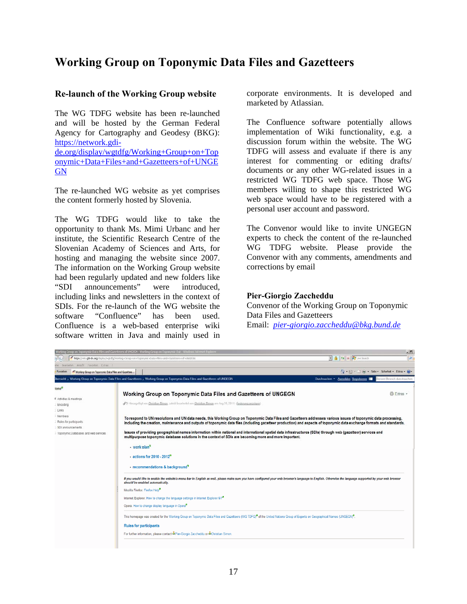### **Working Group on Toponymic Data Files and Gazetteers**

#### **Re-launch of the Working Group website**

The WG TDFG website has been re-launched and will be hosted by the German Federal Agency for Cartography and Geodesy (BKG): https://network.gdide.org/display/wgtdfg/Working+Group+on+Top onymic+Data+Files+and+Gazetteers+of+UNGE **GN** 

The re-launched WG website as yet comprises the content formerly hosted by Slovenia.

The WG TDFG would like to take the opportunity to thank Ms. Mimi Urbanc and her institute, the Scientific Research Centre of the Slovenian Academy of Sciences and Arts, for hosting and managing the website since 2007. The information on the Working Group website had been regularly updated and new folders like "SDI announcements" were introduced, including links and newsletters in the context of SDIs. For the re-launch of the WG website the software "Confluence" has been used. Confluence is a web-based enterprise wiki software written in Java and mainly used in

corporate environments. It is developed and marketed by Atlassian.

The Confluence software potentially allows implementation of Wiki functionality, e.g. a discussion forum within the website. The WG TDFG will assess and evaluate if there is any interest for commenting or editing drafts/ documents or any other WG-related issues in a restricted WG TDFG web space. Those WG members willing to shape this restricted WG web space would have to be registered with a personal user account and password.

The Convenor would like to invite UNGEGN experts to check the content of the re-launched WG TDFG website. Please provide the Convenor with any comments, amendments and corrections by email

#### **Pier-Giorgio Zaccheddu**

Convenor of the Working Group on Toponymic Data Files and Gazetteers

Email: *pier-giorgio.zaccheddu@bkg.bund.de*

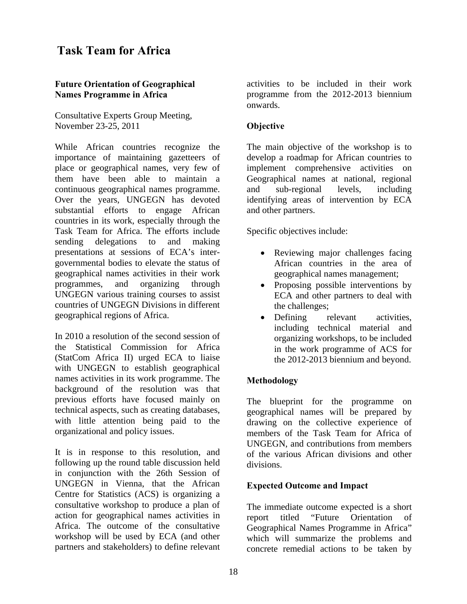### **Task Team for Africa**

#### **Future Orientation of Geographical Names Programme in Africa**

Consultative Experts Group Meeting, November 23-25, 2011

While African countries recognize the importance of maintaining gazetteers of place or geographical names, very few of them have been able to maintain a continuous geographical names programme. Over the years, UNGEGN has devoted substantial efforts to engage African countries in its work, especially through the Task Team for Africa. The efforts include sending delegations to and making presentations at sessions of ECA's intergovernmental bodies to elevate the status of geographical names activities in their work programmes, and organizing through UNGEGN various training courses to assist countries of UNGEGN Divisions in different geographical regions of Africa.

In 2010 a resolution of the second session of the Statistical Commission for Africa (StatCom Africa II) urged ECA to liaise with UNGEGN to establish geographical names activities in its work programme. The background of the resolution was that previous efforts have focused mainly on technical aspects, such as creating databases, with little attention being paid to the organizational and policy issues.

It is in response to this resolution, and following up the round table discussion held in conjunction with the 26th Session of UNGEGN in Vienna, that the African Centre for Statistics (ACS) is organizing a consultative workshop to produce a plan of action for geographical names activities in Africa. The outcome of the consultative workshop will be used by ECA (and other partners and stakeholders) to define relevant

activities to be included in their work programme from the 2012-2013 biennium onwards.

#### **Objective**

The main objective of the workshop is to develop a roadmap for African countries to implement comprehensive activities on Geographical names at national, regional and sub-regional levels, including identifying areas of intervention by ECA and other partners.

Specific objectives include:

- Reviewing major challenges facing African countries in the area of geographical names management;
- Proposing possible interventions by ECA and other partners to deal with the challenges;
- Defining relevant activities, including technical material and organizing workshops, to be included in the work programme of ACS for the 2012-2013 biennium and beyond.

#### **Methodology**

The blueprint for the programme on geographical names will be prepared by drawing on the collective experience of members of the Task Team for Africa of UNGEGN, and contributions from members of the various African divisions and other divisions.

#### **Expected Outcome and Impact**

The immediate outcome expected is a short report titled "Future Orientation of Geographical Names Programme in Africa" which will summarize the problems and concrete remedial actions to be taken by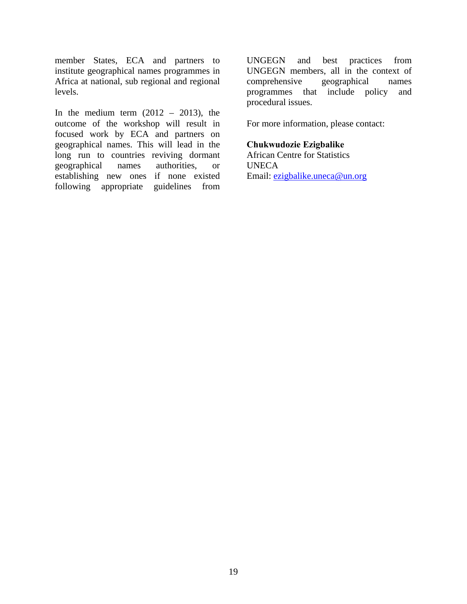member States, ECA and partners to institute geographical names programmes in Africa at national, sub regional and regional levels.

In the medium term  $(2012 - 2013)$ , the outcome of the workshop will result in focused work by ECA and partners on geographical names. This will lead in the long run to countries reviving dormant geographical names authorities, or establishing new ones if none existed following appropriate guidelines from UNGEGN and best practices from UNGEGN members, all in the context of comprehensive geographical names programmes that include policy and procedural issues.

For more information, please contact:

#### **Chukwudozie Ezigbalike**

African Centre for Statistics UNECA Email: ezigbalike.uneca@un.org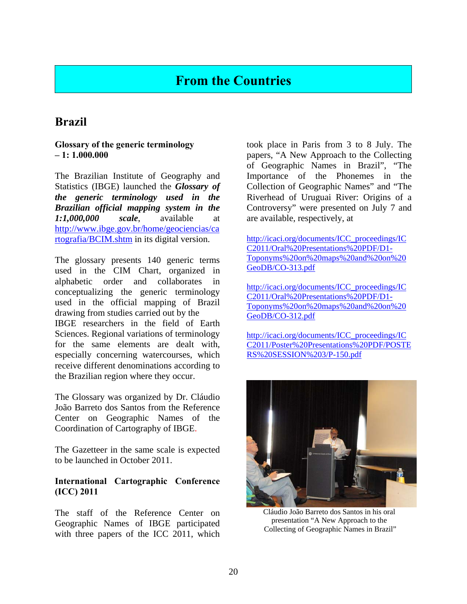### **From the Countries**

### **Brazil**

#### **Glossary of the generic terminology – 1: 1.000.000**

The Brazilian Institute of Geography and Statistics (IBGE) launched the *Glossary of the generic terminology used in the Brazilian official mapping system in the 1:1,000,000 scale*, available at http://www.ibge.gov.br/home/geociencias/ca rtografia/BCIM.shtm in its digital version.

The glossary presents 140 generic terms used in the CIM Chart, organized in alphabetic order and collaborates in conceptualizing the generic terminology used in the official mapping of Brazil drawing from studies carried out by the IBGE researchers in the field of Earth Sciences. Regional variations of terminology for the same elements are dealt with, especially concerning watercourses, which receive different denominations according to the Brazilian region where they occur.

The Glossary was organized by Dr. Cláudio João Barreto dos Santos from the Reference Center on Geographic Names of the Coordination of Cartography of IBGE.

The Gazetteer in the same scale is expected to be launched in October 2011.

#### **International Cartographic Conference (ICC) 2011**

The staff of the Reference Center on Geographic Names of IBGE participated with three papers of the ICC 2011, which took place in Paris from 3 to 8 July. The papers, "A New Approach to the Collecting of Geographic Names in Brazil", "The Importance of the Phonemes in the Collection of Geographic Names" and "The Riverhead of Uruguai River: Origins of a Controversy" were presented on July 7 and are available, respectively, at

http://icaci.org/documents/ICC\_proceedings/IC C2011/Oral%20Presentations%20PDF/D1- Toponyms%20on%20maps%20and%20on%20 GeoDB/CO-313.pdf

http://icaci.org/documents/ICC\_proceedings/IC C2011/Oral%20Presentations%20PDF/D1- Toponyms%20on%20maps%20and%20on%20 GeoDB/CO-312.pdf

http://icaci.org/documents/ICC\_proceedings/IC C2011/Poster%20Presentations%20PDF/POSTE RS%20SESSION%203/P-150.pdf



Cláudio João Barreto dos Santos in his oral presentation "A New Approach to the Collecting of Geographic Names in Brazil"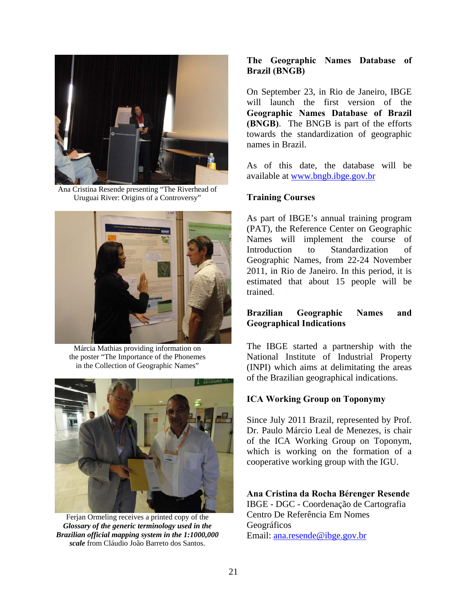

Ana Cristina Resende presenting "The Riverhead of Uruguai River: Origins of a Controversy"



Márcia Mathias providing information on the poster "The Importance of the Phonemes in the Collection of Geographic Names"



Ferjan Ormeling receives a printed copy of the *Glossary of the generic terminology used in the Brazilian official mapping system in the 1:1000,000 scale* from Cláudio João Barreto dos Santos.

#### **The Geographic Names Database of Brazil (BNGB)**

On September 23, in Rio de Janeiro, IBGE will launch the first version of the **Geographic Names Database of Brazil (BNGB)**. The BNGB is part of the efforts towards the standardization of geographic names in Brazil.

As of this date, the database will be available at www.bngb.ibge.gov.br

#### **Training Courses**

As part of IBGE's annual training program (PAT), the Reference Center on Geographic Names will implement the course of Introduction to Standardization of Geographic Names, from 22-24 November 2011, in Rio de Janeiro. In this period, it is estimated that about 15 people will be trained.

#### **Brazilian Geographic Names and Geographical Indications**

The IBGE started a partnership with the National Institute of Industrial Property (INPI) which aims at delimitating the areas of the Brazilian geographical indications.

#### **ICA Working Group on Toponymy**

Since July 2011 Brazil, represented by Prof. Dr. Paulo Márcio Leal de Menezes, is chair of the ICA Working Group on Toponym, which is working on the formation of a cooperative working group with the IGU.

**Ana Cristina da Rocha Bérenger Resende**

IBGE - DGC - Coordenação de Cartografia Centro De Referência Em Nomes Geográficos Email: ana.resende@ibge.gov.br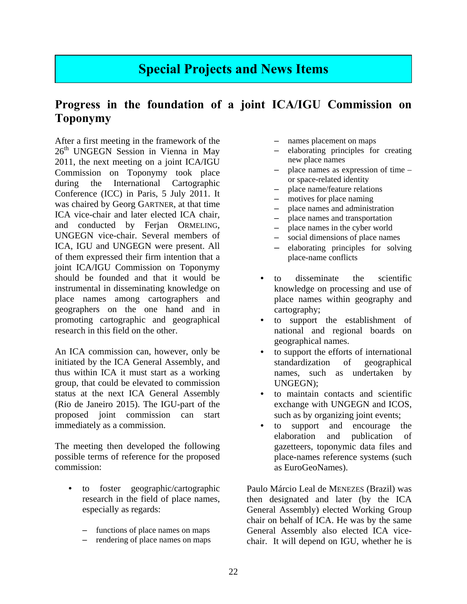### **Special Projects and News Items**

### **Progress in the foundation of a joint ICA/IGU Commission on Toponymy**

After a first meeting in the framework of the 26<sup>th</sup> UNGEGN Session in Vienna in May 2011, the next meeting on a joint ICA/IGU Commission on Toponymy took place during the International Cartographic Conference (ICC) in Paris, 5 July 2011. It was chaired by Georg GARTNER, at that time ICA vice-chair and later elected ICA chair, and conducted by Ferjan ORMELING, UNGEGN vice-chair. Several members of ICA, IGU and UNGEGN were present. All of them expressed their firm intention that a joint ICA/IGU Commission on Toponymy should be founded and that it would be instrumental in disseminating knowledge on place names among cartographers and geographers on the one hand and in promoting cartographic and geographical research in this field on the other.

An ICA commission can, however, only be initiated by the ICA General Assembly, and thus within ICA it must start as a working group, that could be elevated to commission status at the next ICA General Assembly (Rio de Janeiro 2015). The IGU-part of the proposed joint commission can start immediately as a commission.

The meeting then developed the following possible terms of reference for the proposed commission:

- to foster geographic/cartographic research in the field of place names, especially as regards:
	- functions of place names on maps
	- rendering of place names on maps
- names placement on maps
- elaborating principles for creating new place names
- place names as expression of time or space-related identity
- place name/feature relations
- motives for place naming
- place names and administration
- place names and transportation
- place names in the cyber world
- social dimensions of place names
- elaborating principles for solving place-name conflicts
- to disseminate the scientific knowledge on processing and use of place names within geography and cartography;
- to support the establishment of national and regional boards on geographical names.
- to support the efforts of international standardization of geographical names, such as undertaken by UNGEGN);
- to maintain contacts and scientific exchange with UNGEGN and ICOS, such as by organizing joint events;
- to support and encourage the elaboration and publication of gazetteers, toponymic data files and place-names reference systems (such as EuroGeoNames).

Paulo Márcio Leal de MENEZES (Brazil) was then designated and later (by the ICA General Assembly) elected Working Group chair on behalf of ICA. He was by the same General Assembly also elected ICA vicechair. It will depend on IGU, whether he is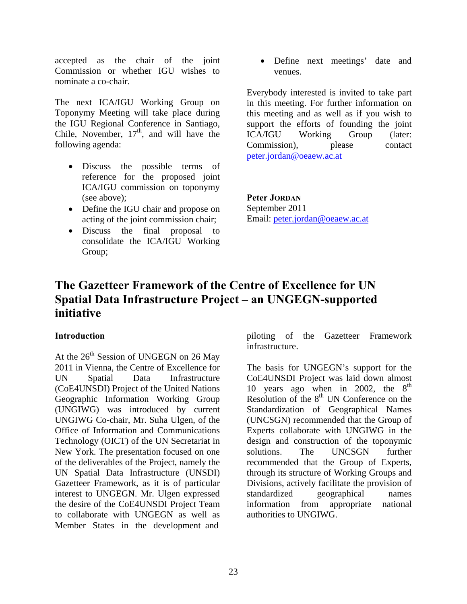accepted as the chair of the joint Commission or whether IGU wishes to nominate a co-chair.

The next ICA/IGU Working Group on Toponymy Meeting will take place during the IGU Regional Conference in Santiago, Chile, November,  $17<sup>th</sup>$ , and will have the following agenda:

- Discuss the possible terms of reference for the proposed joint ICA/IGU commission on toponymy (see above);
- Define the IGU chair and propose on acting of the joint commission chair;
- Discuss the final proposal to consolidate the ICA/IGU Working Group;

 Define next meetings' date and venues.

Everybody interested is invited to take part in this meeting. For further information on this meeting and as well as if you wish to support the efforts of founding the joint ICA/IGU Working Group (later: Commission), please contact peter.jordan@oeaew.ac.at

**Peter JORDAN** September 2011 Email: peter.jordan@oeaew.ac.at

### **The Gazetteer Framework of the Centre of Excellence for UN Spatial Data Infrastructure Project – an UNGEGN-supported initiative**

#### **Introduction**

At the  $26<sup>th</sup>$  Session of UNGEGN on 26 May 2011 in Vienna, the Centre of Excellence for UN Spatial Data Infrastructure (CoE4UNSDI) Project of the United Nations Geographic Information Working Group (UNGIWG) was introduced by current UNGIWG Co-chair, Mr. Suha Ulgen, of the Office of Information and Communications Technology (OICT) of the UN Secretariat in New York. The presentation focused on one of the deliverables of the Project, namely the UN Spatial Data Infrastructure (UNSDI) Gazetteer Framework, as it is of particular interest to UNGEGN. Mr. Ulgen expressed the desire of the CoE4UNSDI Project Team to collaborate with UNGEGN as well as Member States in the development and

piloting of the Gazetteer Framework infrastructure.

The basis for UNGEGN's support for the CoE4UNSDI Project was laid down almost 10 years ago when in 2002, the  $8<sup>th</sup>$ Resolution of the  $8<sup>th</sup>$  UN Conference on the Standardization of Geographical Names (UNCSGN) recommended that the Group of Experts collaborate with UNGIWG in the design and construction of the toponymic solutions. The UNCSGN further recommended that the Group of Experts, through its structure of Working Groups and Divisions, actively facilitate the provision of standardized geographical names information from appropriate national authorities to UNGIWG.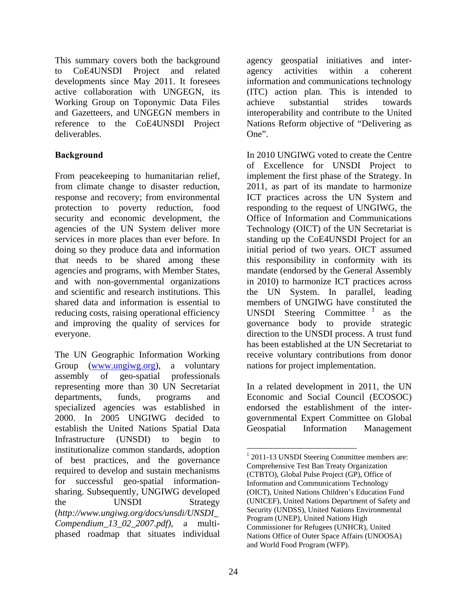This summary covers both the background to CoE4UNSDI Project and related developments since May 2011. It foresees active collaboration with UNGEGN, its Working Group on Toponymic Data Files and Gazetteers, and UNGEGN members in reference to the CoE4UNSDI Project deliverables.

#### **Background**

From peacekeeping to humanitarian relief, from climate change to disaster reduction, response and recovery; from environmental protection to poverty reduction, food security and economic development, the agencies of the UN System deliver more services in more places than ever before. In doing so they produce data and information that needs to be shared among these agencies and programs, with Member States, and with non-governmental organizations and scientific and research institutions. This shared data and information is essential to reducing costs, raising operational efficiency and improving the quality of services for everyone.

The UN Geographic Information Working Group (www.ungiwg.org), a voluntary assembly of geo-spatial professionals representing more than 30 UN Secretariat departments, funds, programs and specialized agencies was established in 2000. In 2005 UNGIWG decided to establish the United Nations Spatial Data Infrastructure (UNSDI) to begin institutionalize common standards, adoption of best practices, and the governance required to develop and sustain mechanisms for successful geo-spatial informationsharing. Subsequently, UNGIWG developed the UNSDI Strategy (*http://www.ungiwg.org/docs/unsdi/UNSDI\_ Compendium\_13\_02\_2007.pdf)*, a multiphased roadmap that situates individual

agency geospatial initiatives and interagency activities within a coherent information and communications technology (ITC) action plan. This is intended to achieve substantial strides towards interoperability and contribute to the United Nations Reform objective of "Delivering as One".

In 2010 UNGIWG voted to create the Centre of Excellence for UNSDI Project to implement the first phase of the Strategy. In 2011, as part of its mandate to harmonize ICT practices across the UN System and responding to the request of UNGIWG, the Office of Information and Communications Technology (OICT) of the UN Secretariat is standing up the CoE4UNSDI Project for an initial period of two years. OICT assumed this responsibility in conformity with its mandate (endorsed by the General Assembly in 2010) to harmonize ICT practices across the UN System. In parallel, leading members of UNGIWG have constituted the UNSDI Steering Committee<sup>1</sup> as the governance body to provide strategic direction to the UNSDI process. A trust fund has been established at the UN Secretariat to receive voluntary contributions from donor nations for project implementation.

In a related development in 2011, the UN Economic and Social Council (ECOSOC) endorsed the establishment of the intergovernmental Expert Committee on Global Geospatial Information Management

 $\overline{a}$ 

<sup>&</sup>lt;sup>1</sup> 2011-13 UNSDI Steering Committee members are: Comprehensive Test Ban Treaty Organization (CTBTO), Global Pulse Project (GP), Office of Information and Communications Technology (OICT), United Nations Children's Education Fund (UNICEF), United Nations Department of Safety and Security (UNDSS), United Nations Environmental Program (UNEP), United Nations High Commissioner for Refugees (UNHCR), United Nations Office of Outer Space Affairs (UNOOSA) and World Food Program (WFP).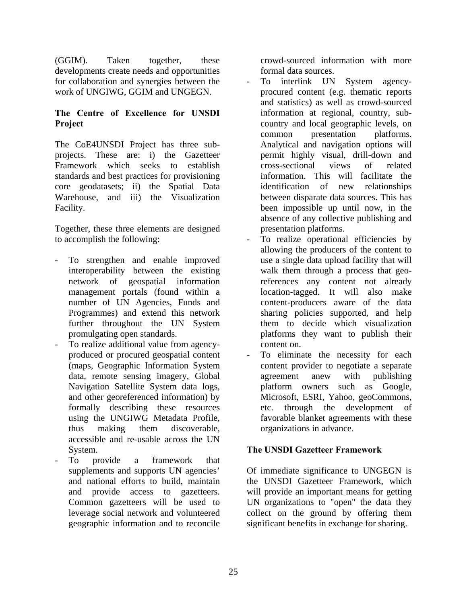(GGIM). Taken together, these developments create needs and opportunities for collaboration and synergies between the work of UNGIWG, GGIM and UNGEGN.

#### **The Centre of Excellence for UNSDI Project**

The CoE4UNSDI Project has three subprojects. These are: i) the Gazetteer Framework which seeks to establish standards and best practices for provisioning core geodatasets; ii) the Spatial Data Warehouse, and iii) the Visualization Facility.

Together, these three elements are designed to accomplish the following:

- To strengthen and enable improved interoperability between the existing network of geospatial information management portals (found within a number of UN Agencies, Funds and Programmes) and extend this network further throughout the UN System promulgating open standards.
- To realize additional value from agencyproduced or procured geospatial content (maps, Geographic Information System data, remote sensing imagery, Global Navigation Satellite System data logs, and other georeferenced information) by formally describing these resources using the UNGIWG Metadata Profile, thus making them discoverable, accessible and re-usable across the UN System.
- To provide a framework that supplements and supports UN agencies' and national efforts to build, maintain and provide access to gazetteers. Common gazetteers will be used to leverage social network and volunteered geographic information and to reconcile

crowd-sourced information with more formal data sources.

- To interlink UN System agencyprocured content (e.g. thematic reports and statistics) as well as crowd-sourced information at regional, country, subcountry and local geographic levels, on common presentation platforms. Analytical and navigation options will permit highly visual, drill-down and cross-sectional views of related information. This will facilitate the identification of new relationships between disparate data sources. This has been impossible up until now, in the absence of any collective publishing and presentation platforms.
- To realize operational efficiencies by allowing the producers of the content to use a single data upload facility that will walk them through a process that georeferences any content not already location-tagged. It will also make content-producers aware of the data sharing policies supported, and help them to decide which visualization platforms they want to publish their content on.
- To eliminate the necessity for each content provider to negotiate a separate agreement anew with publishing platform owners such as Google, Microsoft, ESRI, Yahoo, geoCommons, etc. through the development of favorable blanket agreements with these organizations in advance.

#### **The UNSDI Gazetteer Framework**

Of immediate significance to UNGEGN is the UNSDI Gazetteer Framework, which will provide an important means for getting UN organizations to "open" the data they collect on the ground by offering them significant benefits in exchange for sharing.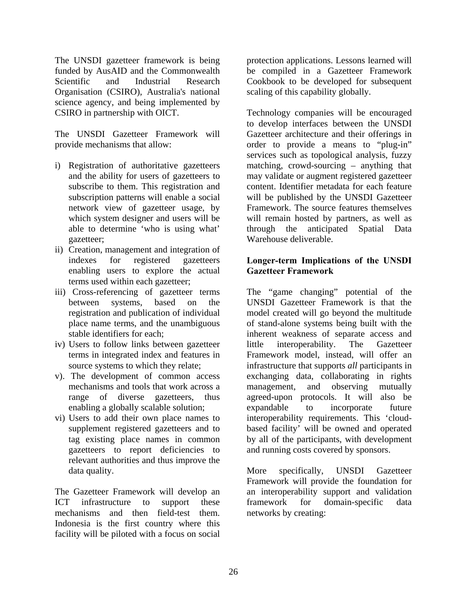The UNSDI gazetteer framework is being funded by AusAID and the Commonwealth Scientific and Industrial Research Organisation (CSIRO), Australia's national science agency, and being implemented by CSIRO in partnership with OICT.

The UNSDI Gazetteer Framework will provide mechanisms that allow:

- i) Registration of authoritative gazetteers and the ability for users of gazetteers to subscribe to them. This registration and subscription patterns will enable a social network view of gazetteer usage, by which system designer and users will be able to determine 'who is using what' gazetteer;
- ii) Creation, management and integration of indexes for registered gazetteers enabling users to explore the actual terms used within each gazetteer;
- iii) Cross-referencing of gazetteer terms between systems, based on the registration and publication of individual place name terms, and the unambiguous stable identifiers for each;
- iv) Users to follow links between gazetteer terms in integrated index and features in source systems to which they relate;
- v). The development of common access mechanisms and tools that work across a range of diverse gazetteers, thus enabling a globally scalable solution;
- vi) Users to add their own place names to supplement registered gazetteers and to tag existing place names in common gazetteers to report deficiencies to relevant authorities and thus improve the data quality.

The Gazetteer Framework will develop an ICT infrastructure to support these mechanisms and then field-test them. Indonesia is the first country where this facility will be piloted with a focus on social

protection applications. Lessons learned will be compiled in a Gazetteer Framework Cookbook to be developed for subsequent scaling of this capability globally.

Technology companies will be encouraged to develop interfaces between the UNSDI Gazetteer architecture and their offerings in order to provide a means to "plug-in" services such as topological analysis, fuzzy matching, crowd-sourcing – anything that may validate or augment registered gazetteer content. Identifier metadata for each feature will be published by the UNSDI Gazetteer Framework. The source features themselves will remain hosted by partners, as well as through the anticipated Spatial Data Warehouse deliverable.

#### **Longer-term Implications of the UNSDI Gazetteer Framework**

The "game changing" potential of the UNSDI Gazetteer Framework is that the model created will go beyond the multitude of stand-alone systems being built with the inherent weakness of separate access and little interoperability. The Gazetteer Framework model, instead, will offer an infrastructure that supports *all* participants in exchanging data, collaborating in rights management, and observing mutually agreed-upon protocols. It will also be expandable to incorporate future interoperability requirements. This 'cloudbased facility' will be owned and operated by all of the participants, with development and running costs covered by sponsors.

More specifically, UNSDI Gazetteer Framework will provide the foundation for an interoperability support and validation framework for domain-specific data networks by creating: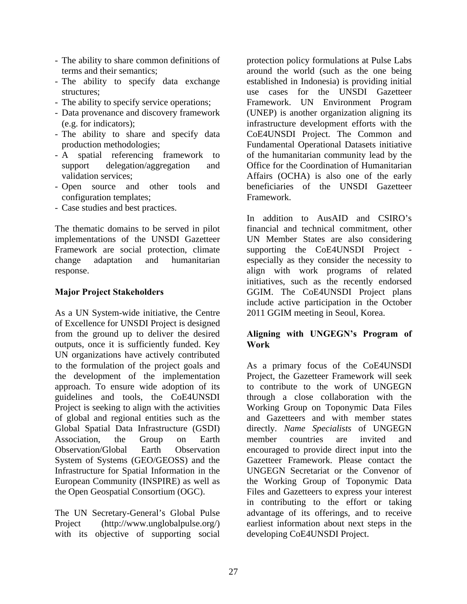- The ability to share common definitions of terms and their semantics;
- The ability to specify data exchange structures;
- The ability to specify service operations;
- Data provenance and discovery framework (e.g. for indicators);
- The ability to share and specify data production methodologies;
- A spatial referencing framework to support delegation/aggregation and validation services;
- Open source and other tools and configuration templates;
- Case studies and best practices.

The thematic domains to be served in pilot implementations of the UNSDI Gazetteer Framework are social protection, climate change adaptation and humanitarian response.

#### **Major Project Stakeholders**

As a UN System-wide initiative, the Centre of Excellence for UNSDI Project is designed from the ground up to deliver the desired outputs, once it is sufficiently funded. Key UN organizations have actively contributed to the formulation of the project goals and the development of the implementation approach. To ensure wide adoption of its guidelines and tools, the CoE4UNSDI Project is seeking to align with the activities of global and regional entities such as the Global Spatial Data Infrastructure (GSDI) Association, the Group on Earth Observation/Global Earth Observation System of Systems (GEO/GEOSS) and the Infrastructure for Spatial Information in the European Community (INSPIRE) as well as the Open Geospatial Consortium (OGC).

The UN Secretary-General's Global Pulse Project (http://www.unglobalpulse.org/) with its objective of supporting social

protection policy formulations at Pulse Labs around the world (such as the one being established in Indonesia) is providing initial use cases for the UNSDI Gazetteer Framework. UN Environment Program (UNEP) is another organization aligning its infrastructure development efforts with the CoE4UNSDI Project. The Common and Fundamental Operational Datasets initiative of the humanitarian community lead by the Office for the Coordination of Humanitarian Affairs (OCHA) is also one of the early beneficiaries of the UNSDI Gazetteer Framework.

In addition to AusAID and CSIRO's financial and technical commitment, other UN Member States are also considering supporting the CoE4UNSDI Project especially as they consider the necessity to align with work programs of related initiatives, such as the recently endorsed GGIM. The CoE4UNSDI Project plans include active participation in the October 2011 GGIM meeting in Seoul, Korea.

#### **Aligning with UNGEGN's Program of Work**

As a primary focus of the CoE4UNSDI Project, the Gazetteer Framework will seek to contribute to the work of UNGEGN through a close collaboration with the Working Group on Toponymic Data Files and Gazetteers and with member states directly. *Name Specialists* of UNGEGN member countries are invited and encouraged to provide direct input into the Gazetteer Framework. Please contact the UNGEGN Secretariat or the Convenor of the Working Group of Toponymic Data Files and Gazetteers to express your interest in contributing to the effort or taking advantage of its offerings, and to receive earliest information about next steps in the developing CoE4UNSDI Project.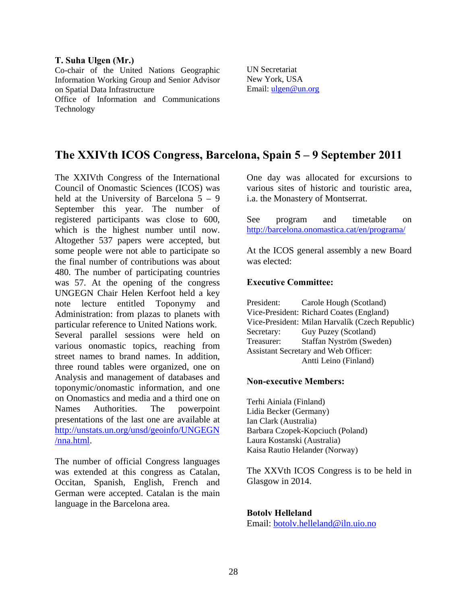#### **T. Suha Ulgen (Mr.)**

Co-chair of the United Nations Geographic Information Working Group and Senior Advisor on Spatial Data Infrastructure Office of Information and Communications Technology

UN Secretariat New York, USA Email: ulgen@un.org

### **The XXIVth ICOS Congress, Barcelona, Spain 5 – 9 September 2011**

The XXIVth Congress of the International Council of Onomastic Sciences (ICOS) was held at the University of Barcelona  $5 - 9$ September this year. The number of registered participants was close to 600, which is the highest number until now. Altogether 537 papers were accepted, but some people were not able to participate so the final number of contributions was about 480. The number of participating countries was 57. At the opening of the congress UNGEGN Chair Helen Kerfoot held a key note lecture entitled Toponymy and Administration: from plazas to planets with particular reference to United Nations work. Several parallel sessions were held on various onomastic topics, reaching from street names to brand names. In addition, three round tables were organized, one on Analysis and management of databases and toponymic/onomastic information, and one on Onomastics and media and a third one on Names Authorities. The powerpoint presentations of the last one are available at http://unstats.un.org/unsd/geoinfo/UNGEGN /nna.html.

The number of official Congress languages was extended at this congress as Catalan, Occitan, Spanish, English, French and German were accepted. Catalan is the main language in the Barcelona area.

One day was allocated for excursions to various sites of historic and touristic area, i.a. the Monastery of Montserrat.

See program and timetable on http://barcelona.onomastica.cat/en/programa/

At the ICOS general assembly a new Board was elected:

#### **Executive Committee:**

President: Carole Hough (Scotland) Vice-President: Richard Coates (England) Vice-President: Milan Harvalík (Czech Republic) Secretary: Guy Puzey (Scotland) Treasurer: Staffan Nyström (Sweden) Assistant Secretary and Web Officer: Antti Leino (Finland)

#### **Non-executive Members:**

Terhi Ainiala (Finland) Lidia Becker (Germany) Ian Clark (Australia) Barbara Czopek-Kopciuch (Poland) Laura Kostanski (Australia) Kaisa Rautio Helander (Norway)

The XXVth ICOS Congress is to be held in Glasgow in 2014.

#### **Botolv Helleland**

Email: botolv.helleland@iln.uio.no